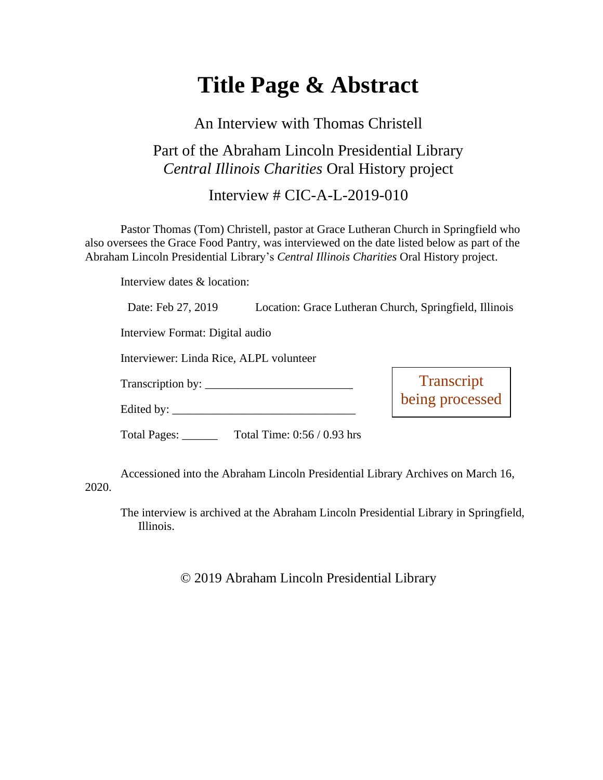# **Title Page & Abstract**

#### An Interview with Thomas Christell

### Part of the Abraham Lincoln Presidential Library *Central Illinois Charities* Oral History project

Interview  $\#$  CIC-A-L-2019-010

Pastor Thomas (Tom) Christell, pastor at Grace Lutheran Church in Springfield who also oversees the Grace Food Pantry, was interviewed on the date listed below as part of the Abraham Lincoln Presidential Library's *Central Illinois Charities* Oral History project.

Interview dates & location:

| Date: Feb 27, 2019                      | Location: Grace Lutheran Church, Springfield, Illinois |                               |
|-----------------------------------------|--------------------------------------------------------|-------------------------------|
| Interview Format: Digital audio         |                                                        |                               |
| Interviewer: Linda Rice, ALPL volunteer |                                                        |                               |
|                                         |                                                        |                               |
|                                         |                                                        | Transcript<br>being processed |
|                                         | Total Pages: __________ Total Time: 0:56 / 0.93 hrs    |                               |
|                                         |                                                        |                               |

Accessioned into the Abraham Lincoln Presidential Library Archives on March 16, 2020.

The interview is archived at the Abraham Lincoln Presidential Library in Springfield, Illinois.

© 2019 Abraham Lincoln Presidential Library